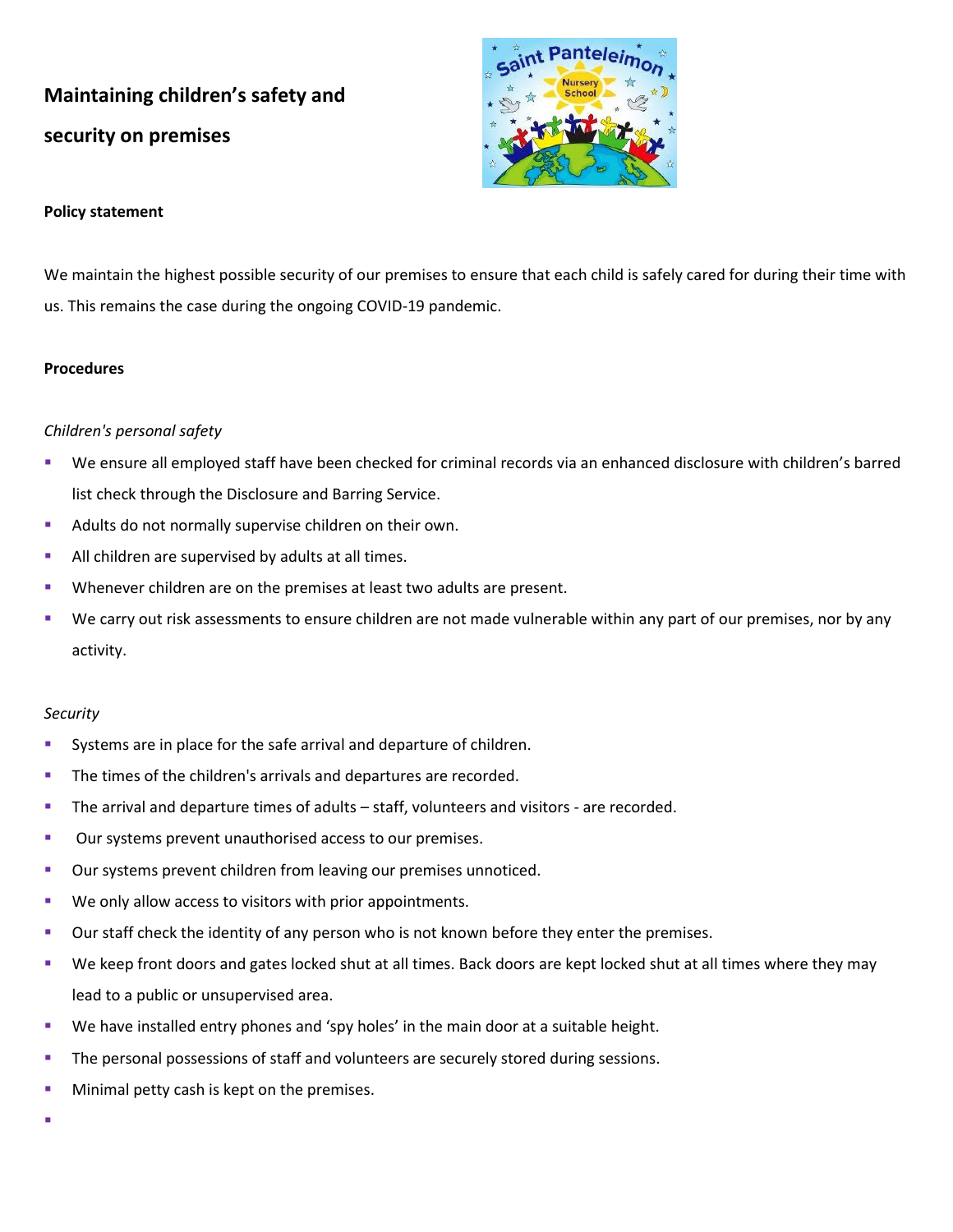# **Maintaining children's safety and security on premises**



### **Policy statement**

We maintain the highest possible security of our premises to ensure that each child is safely cared for during their time with us. This remains the case during the ongoing COVID-19 pandemic.

### **Procedures**

### *Children's personal safety*

- We ensure all employed staff have been checked for criminal records via an enhanced disclosure with children's barred list check through the Disclosure and Barring Service.
- Adults do not normally supervise children on their own.
- **EXEL All children are supervised by adults at all times.**
- Whenever children are on the premises at least two adults are present.
- We carry out risk assessments to ensure children are not made vulnerable within any part of our premises, nor by any activity.

#### *Security*

- **EXECT** Systems are in place for the safe arrival and departure of children.
- The times of the children's arrivals and departures are recorded.
- **The arrival and departure times of adults staff, volunteers and visitors are recorded.**
- Our systems prevent unauthorised access to our premises.
- Our systems prevent children from leaving our premises unnoticed.
- We only allow access to visitors with prior appointments.
- **■** Our staff check the identity of any person who is not known before they enter the premises.
- We keep front doors and gates locked shut at all times. Back doors are kept locked shut at all times where they may lead to a public or unsupervised area.
- **■** We have installed entry phones and 'spy holes' in the main door at a suitable height.
- **The personal possessions of staff and volunteers are securely stored during sessions.**
- **■** Minimal petty cash is kept on the premises.
- ▪